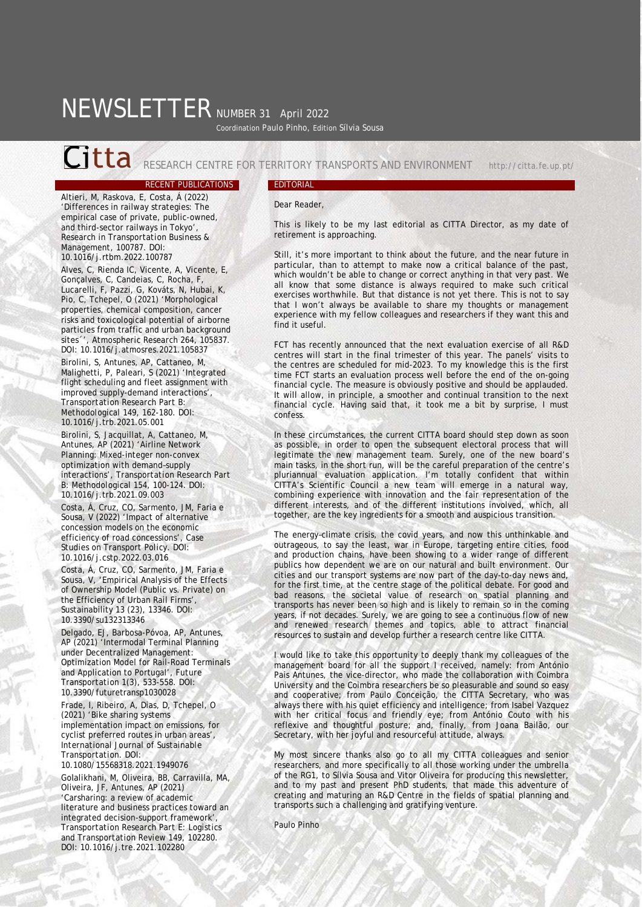# NEWSLETTER NUMBER 31 April 2022 Coordination Paulo Pinho, Edition Sílvia Sousa

Citta RESEARCH CENTRE FOR TERRITORY TRANSPORTS AND ENVIRONMENT http://citta.fe.up.pt/

Altieri, M, Raskova, E, Costa, Á (2022) 'Differences in railway strategies: The empirical case of private, public-owned, and third-sector railways in Tokyo', *Research in Transportation Business & Management*, 100787. DOI: 10.1016/j.rtbm.2022.100787

Alves, C, Rienda IC, Vicente, A, Vicente, E, Gonçalves, C, Candeias, C, Rocha, F, Lucarelli, F, Pazzi, G, Kováts, N, Hubai, K, Pio, C, Tchepel, O (2021) 'Morphological properties, chemical composition, cancer risks and toxicological potential of airborne particles from traffic and urban background sites´', *Atmospheric Research* 264, 105837. DOI: 10.1016/j.atmosres.2021.105837

Birolini, S, Antunes, AP, Cattaneo, M, Malighetti, P, Paleari, S (2021) 'Integrated flight scheduling and fleet assignment with improved supply-demand interactions', *Transportation Research Part B: Methodological* 149, 162-180. DOI: 10.1016/j.trb.2021.05.001

Birolini, S, Jacquillat, A, Cattaneo, M, Antunes, AP (2021) 'Airline Network Planning: Mixed-integer non-convex optimization with demand–supply interactions', *Transportation Research Part B: Methodological* 154, 100-124. DOI: 10.1016/j.trb.2021.09.003

Costa, Á, Cruz, CO, Sarmento, JM, Faria e Sousa, V (2022) 'Impact of alternative concession models on the economic efficiency of road concessions', *Case Studies on Transport Policy*. DOI: 10.1016/j.cstp.2022.03.016

Costa, Á, Cruz, CO, Sarmento, JM, Faria e Sousa, V, 'Empirical Analysis of the Effects of Ownership Model (Public vs. Private) on the Efficiency of Urban Rail Firms', Sustainability 13 (23), 13346. DOI: 10.3390/su132313346

Delgado, EJ, Barbosa-Póvoa, AP, Antunes, AP (2021) 'Intermodal Terminal Planning under Decentralized Management: Optimization Model for Rail-Road Terminals and Application to Portugal'*, Future Transportation* 1(3), 533-558. DOI: 10.3390/futuretransp1030028

Frade, I, Ribeiro, A, Dias, D, Tchepel, O (2021) 'Bike sharing systems implementation impact on emissions, for cyclist preferred routes in urban areas', *International Journal of Sustainable Transportation*. DOI:

10.1080/15568318.2021.1949076

Golalikhani, M, Oliveira, BB, Carravilla, MA, Oliveira, JF, Antunes, AP (2021) 'Carsharing: a review of academic literature and business practices toward an integrated decision-support framework', *Transportation Research Part E: Logistics and Transportation Review* 149, 102280. DOI: 10.1016/j.tre.2021.102280

## RECENT PUBLICATIONS EDITORIAL

### Dear Reader,

This is likely to be my last editorial as CITTA Director, as my date of retirement is approaching.

Still, it's more important to think about the future, and the near future in particular, than to attempt to make now a critical balance of the past, which wouldn't be able to change or correct anything in that very past. We all know that some distance is always required to make such critical exercises worthwhile. But that distance is not yet there. This is not to say that I won't always be available to share my thoughts or management experience with my fellow colleagues and researchers if they want this and find it useful.

FCT has recently announced that the next evaluation exercise of all R&D centres will start in the final trimester of this year. The panels' visits to the centres are scheduled for mid-2023. To my knowledge this is the first time FCT starts an evaluation process well before the end of the on-going financial cycle. The measure is obviously positive and should be applauded. It will allow, in principle, a smoother and continual transition to the next financial cycle. Having said that, it took me a bit by surprise, I must confess.

In these circumstances, the current CITTA board should step down as soon as possible, in order to open the subsequent electoral process that will legitimate the new management team. Surely, one of the new board's main tasks, in the short run, will be the careful preparation of the centre's pluriannual evaluation application. I'm totally confident that within CITTA's Scientific Council a new team will emerge in a natural way, combining experience with innovation and the fair representation of the different interests, and of the different institutions involved, which, all together, are the key ingredients for a smooth and auspicious transition.

The energy–climate crisis, the covid years, and now this unthinkable and outrageous, to say the least, war in Europe, targeting entire cities, food and production chains, have been showing to a wider range of different publics how dependent we are on our natural and built environment. Our cities and our transport systems are now part of the day-to-day news and, for the first time, at the centre stage of the political debate. For good and bad reasons, the societal value of research on spatial planning and transports has never been so high and is likely to remain so in the coming years, if not decades. Surely, we are going to see a continuous flow of new and renewed research themes and topics, able to attract financial resources to sustain and develop further a research centre like CITTA.

I would like to take this opportunity to deeply thank my colleagues of the management board for all the support I received, namely: from António Pais Antunes, the vice-director, who made the collaboration with Coimbra University and the Coimbra researchers be so pleasurable and sound so easy and cooperative; from Paulo Conceição, the CITTA Secretary, who was always there with his quiet efficiency and intelligence; from Isabel Vazquez with her critical focus and friendly eye; from António Couto with his reflexive and thoughtful posture; and, finally, from Joana Bailão, our Secretary, with her joyful and resourceful attitude, always.

My most sincere thanks also go to all my CITTA colleagues and senior researchers, and more specifically to all those working under the umbrella of the RG1, to Sílvia Sousa and Vitor Oliveira for producing this newsletter, and to my past and present PhD students, that made this adventure of creating and maturing an R&D Centre in the fields of spatial planning and transports such a challenging and gratifying venture.

Paulo Pinho